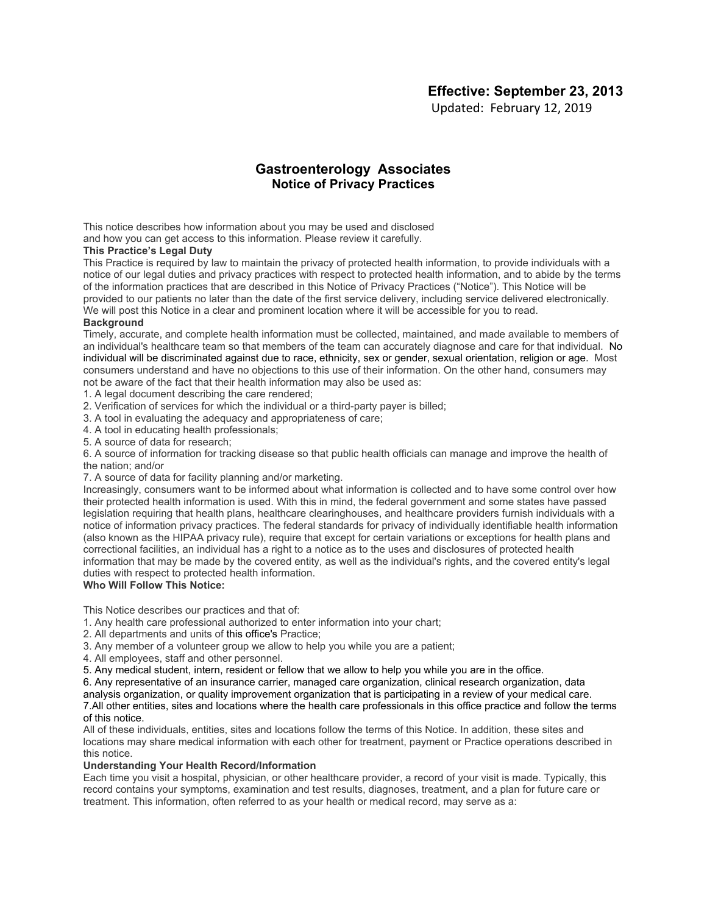# **Effective: September 23, 2013**

Updated: February 12, 2019

# **Gastroenterology Associates Notice of Privacy Practices**

This notice describes how information about you may be used and disclosed

and how you can get access to this information. Please review it carefully.

# **This Practice's Legal Duty**

This Practice is required by law to maintain the privacy of protected health information, to provide individuals with a notice of our legal duties and privacy practices with respect to protected health information, and to abide by the terms of the information practices that are described in this Notice of Privacy Practices ("Notice"). This Notice will be provided to our patients no later than the date of the first service delivery, including service delivered electronically. We will post this Notice in a clear and prominent location where it will be accessible for you to read.

# **Background**

Timely, accurate, and complete health information must be collected, maintained, and made available to members of an individual's healthcare team so that members of the team can accurately diagnose and care for that individual. No individual will be discriminated against due to race, ethnicity, sex or gender, sexual orientation, religion or age. Most consumers understand and have no objections to this use of their information. On the other hand, consumers may not be aware of the fact that their health information may also be used as:

1. A legal document describing the care rendered;

2. Verification of services for which the individual or a third-party payer is billed;

3. A tool in evaluating the adequacy and appropriateness of care;

4. A tool in educating health professionals;

5. A source of data for research;

6. A source of information for tracking disease so that public health officials can manage and improve the health of the nation; and/or

7. A source of data for facility planning and/or marketing.

Increasingly, consumers want to be informed about what information is collected and to have some control over how their protected health information is used. With this in mind, the federal government and some states have passed legislation requiring that health plans, healthcare clearinghouses, and healthcare providers furnish individuals with a notice of information privacy practices. The federal standards for privacy of individually identifiable health information (also known as the HIPAA privacy rule), require that except for certain variations or exceptions for health plans and correctional facilities, an individual has a right to a notice as to the uses and disclosures of protected health information that may be made by the covered entity, as well as the individual's rights, and the covered entity's legal duties with respect to protected health information.

# **Who Will Follow This Notice:**

This Notice describes our practices and that of:

1. Any health care professional authorized to enter information into your chart;

2. All departments and units of this office's Practice;

3. Any member of a volunteer group we allow to help you while you are a patient;

4. All employees, staff and other personnel.

5. Any medical student, intern, resident or fellow that we allow to help you while you are in the office.

6. Any representative of an insurance carrier, managed care organization, clinical research organization, data

analysis organization, or quality improvement organization that is participating in a review of your medical care.

7.All other entities, sites and locations where the health care professionals in this office practice and follow the terms of this notice.

All of these individuals, entities, sites and locations follow the terms of this Notice. In addition, these sites and locations may share medical information with each other for treatment, payment or Practice operations described in this notice.

# **Understanding Your Health Record/Information**

Each time you visit a hospital, physician, or other healthcare provider, a record of your visit is made. Typically, this record contains your symptoms, examination and test results, diagnoses, treatment, and a plan for future care or treatment. This information, often referred to as your health or medical record, may serve as a: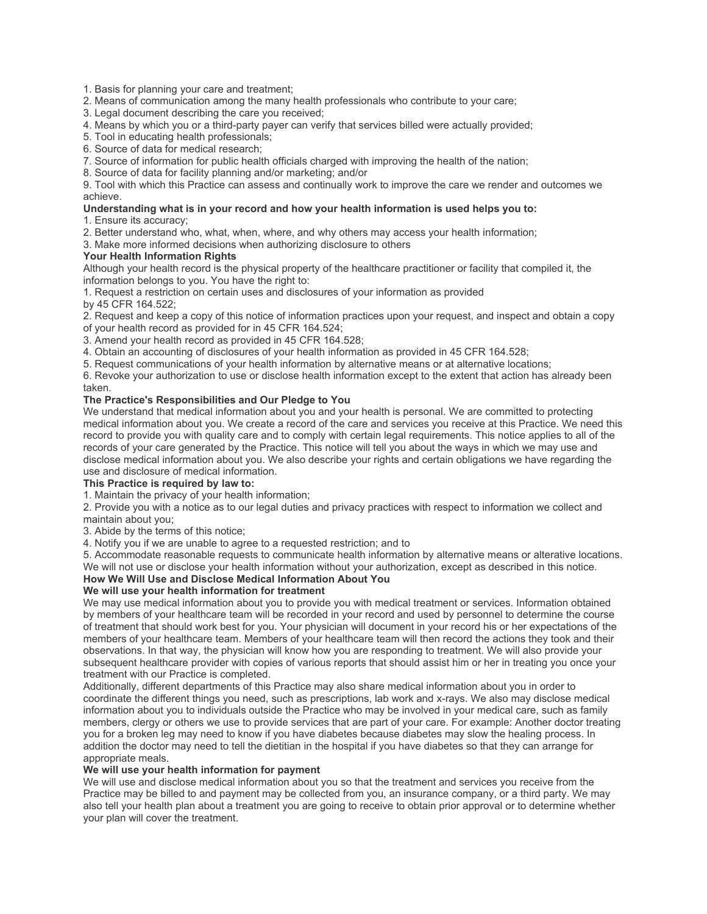1. Basis for planning your care and treatment;

2. Means of communication among the many health professionals who contribute to your care;

3. Legal document describing the care you received;

4. Means by which you or a third-party payer can verify that services billed were actually provided;

5. Tool in educating health professionals;

6. Source of data for medical research;

7. Source of information for public health officials charged with improving the health of the nation;

8. Source of data for facility planning and/or marketing; and/or

9. Tool with which this Practice can assess and continually work to improve the care we render and outcomes we achieve.

# **Understanding what is in your record and how your health information is used helps you to:**

#### 1. Ensure its accuracy;

2. Better understand who, what, when, where, and why others may access your health information;

3. Make more informed decisions when authorizing disclosure to others

# **Your Health Information Rights**

Although your health record is the physical property of the healthcare practitioner or facility that compiled it, the information belongs to you. You have the right to:

1. Request a restriction on certain uses and disclosures of your information as provided

by 45 CFR 164.522;

2. Request and keep a copy of this notice of information practices upon your request, and inspect and obtain a copy

of your health record as provided for in 45 CFR 164.524;

3. Amend your health record as provided in 45 CFR 164.528;

4. Obtain an accounting of disclosures of your health information as provided in 45 CFR 164.528;

5. Request communications of your health information by alternative means or at alternative locations;

6. Revoke your authorization to use or disclose health information except to the extent that action has already been

taken.

# **The Practice's Responsibilities and Our Pledge to You**

We understand that medical information about you and your health is personal. We are committed to protecting medical information about you. We create a record of the care and services you receive at this Practice. We need this record to provide you with quality care and to comply with certain legal requirements. This notice applies to all of the records of your care generated by the Practice. This notice will tell you about the ways in which we may use and disclose medical information about you. We also describe your rights and certain obligations we have regarding the use and disclosure of medical information.

# **This Practice is required by law to:**

1. Maintain the privacy of your health information;

2. Provide you with a notice as to our legal duties and privacy practices with respect to information we collect and maintain about you;

3. Abide by the terms of this notice;

4. Notify you if we are unable to agree to a requested restriction; and to

5. Accommodate reasonable requests to communicate health information by alternative means or alterative locations. We will not use or disclose your health information without your authorization, except as described in this notice.

# **How We Will Use and Disclose Medical Information About You**

# **We will use your health information for treatment**

We may use medical information about you to provide you with medical treatment or services. Information obtained by members of your healthcare team will be recorded in your record and used by personnel to determine the course of treatment that should work best for you. Your physician will document in your record his or her expectations of the members of your healthcare team. Members of your healthcare team will then record the actions they took and their observations. In that way, the physician will know how you are responding to treatment. We will also provide your subsequent healthcare provider with copies of various reports that should assist him or her in treating you once your treatment with our Practice is completed.

Additionally, different departments of this Practice may also share medical information about you in order to coordinate the different things you need, such as prescriptions, lab work and x-rays. We also may disclose medical information about you to individuals outside the Practice who may be involved in your medical care, such as family members, clergy or others we use to provide services that are part of your care. For example: Another doctor treating you for a broken leg may need to know if you have diabetes because diabetes may slow the healing process. In addition the doctor may need to tell the dietitian in the hospital if you have diabetes so that they can arrange for appropriate meals.

# **We will use your health information for payment**

We will use and disclose medical information about you so that the treatment and services you receive from the Practice may be billed to and payment may be collected from you, an insurance company, or a third party. We may also tell your health plan about a treatment you are going to receive to obtain prior approval or to determine whether your plan will cover the treatment.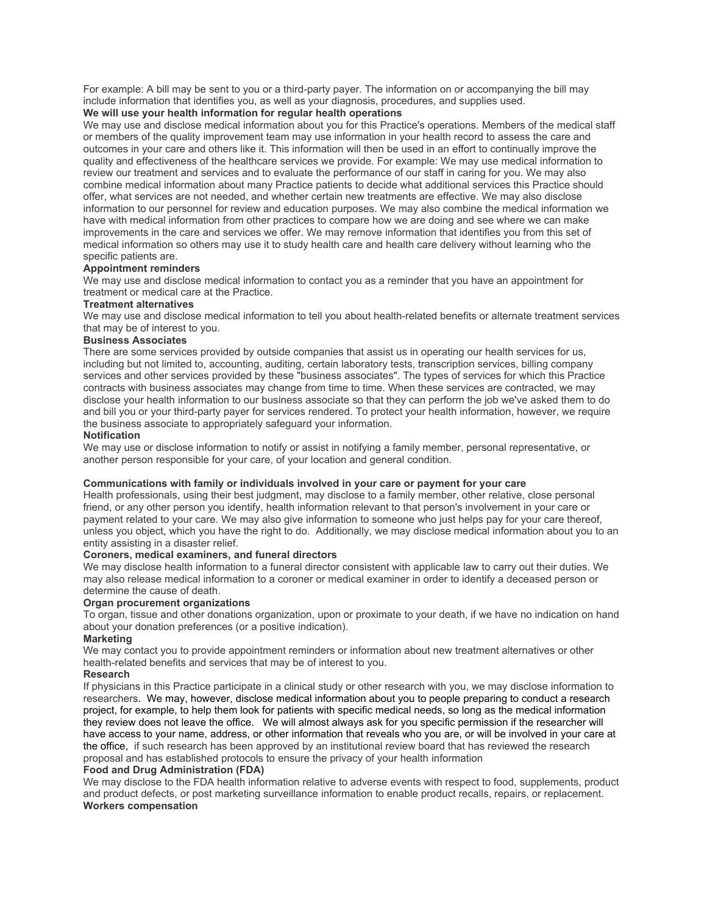For example: A bill may be sent to you or a third-party payer. The information on or accompanying the bill may include information that identifies you, as well as your diagnosis, procedures, and supplies used.

# **We will use your health information for regular health operations**

We may use and disclose medical information about you for this Practice's operations. Members of the medical staff or members of the quality improvement team may use information in your health record to assess the care and outcomes in your care and others like it. This information will then be used in an effort to continually improve the quality and effectiveness of the healthcare services we provide. For example: We may use medical information to review our treatment and services and to evaluate the performance of our staff in caring for you. We may also combine medical information about many Practice patients to decide what additional services this Practice should offer, what services are not needed, and whether certain new treatments are effective. We may also disclose information to our personnel for review and education purposes. We may also combine the medical information we have with medical information from other practices to compare how we are doing and see where we can make improvements in the care and services we offer. We may remove information that identifies you from this set of medical information so others may use it to study health care and health care delivery without learning who the specific patients are.

# **Appointment reminders**

We may use and disclose medical information to contact you as a reminder that you have an appointment for treatment or medical care at the Practice.

### **Treatment alternatives**

We may use and disclose medical information to tell you about health-related benefits or alternate treatment services that may be of interest to you.

#### **Business Associates**

There are some services provided by outside companies that assist us in operating our health services for us, including but not limited to, accounting, auditing, certain laboratory tests, transcription services, billing company services and other services provided by these "business associates". The types of services for which this Practice contracts with business associates may change from time to time. When these services are contracted, we may disclose your health information to our business associate so that they can perform the job we've asked them to do and bill you or your third-party payer for services rendered. To protect your health information, however, we require the business associate to appropriately safeguard your information.

#### **Notification**

We may use or disclose information to notify or assist in notifying a family member, personal representative, or another person responsible for your care, of your location and general condition.

#### **Communications with family or individuals involved in your care or payment for your care**

Health professionals, using their best judgment, may disclose to a family member, other relative, close personal friend, or any other person you identify, health information relevant to that person's involvement in your care or payment related to your care. We may also give information to someone who just helps pay for your care thereof, unless you object, which you have the right to do. Additionally, we may disclose medical information about you to an entity assisting in a disaster relief.

### **Coroners, medical examiners, and funeral directors**

We may disclose health information to a funeral director consistent with applicable law to carry out their duties. We may also release medical information to a coroner or medical examiner in order to identify a deceased person or determine the cause of death.

#### **Organ procurement organizations**

To organ, tissue and other donations organization, upon or proximate to your death, if we have no indication on hand about your donation preferences (or a positive indication).

#### **Marketing**

We may contact you to provide appointment reminders or information about new treatment alternatives or other health-related benefits and services that may be of interest to you.

# **Research**

If physicians in this Practice participate in a clinical study or other research with you, we may disclose information to researchers. We may, however, disclose medical information about you to people preparing to conduct a research project, for example, to help them look for patients with specific medical needs, so long as the medical information they review does not leave the office. We will almost always ask for you specific permission if the researcher will have access to your name, address, or other information that reveals who you are, or will be involved in your care at the office, if such research has been approved by an institutional review board that has reviewed the research proposal and has established protocols to ensure the privacy of your health information

#### **Food and Drug Administration (FDA)**

We may disclose to the FDA health information relative to adverse events with respect to food, supplements, product and product defects, or post marketing surveillance information to enable product recalls, repairs, or replacement. **Workers compensation**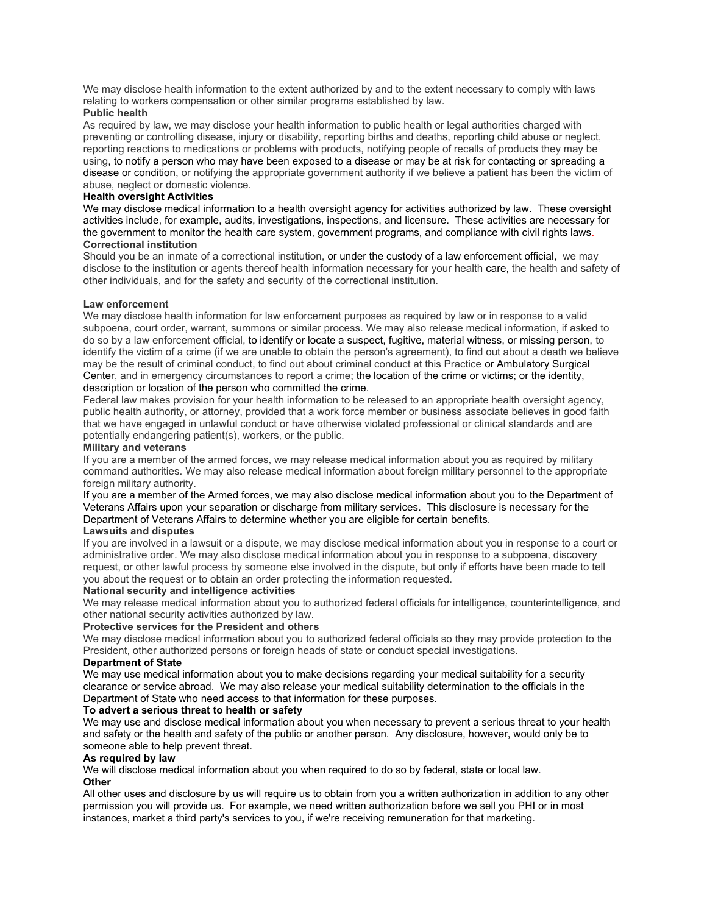We may disclose health information to the extent authorized by and to the extent necessary to comply with laws relating to workers compensation or other similar programs established by law.

# **Public health**

As required by law, we may disclose your health information to public health or legal authorities charged with preventing or controlling disease, injury or disability, reporting births and deaths, reporting child abuse or neglect, reporting reactions to medications or problems with products, notifying people of recalls of products they may be using, to notify a person who may have been exposed to a disease or may be at risk for contacting or spreading a disease or condition, or notifying the appropriate government authority if we believe a patient has been the victim of abuse, neglect or domestic violence.

### **Health oversight Activities**

We may disclose medical information to a health oversight agency for activities authorized by law. These oversight activities include, for example, audits, investigations, inspections, and licensure. These activities are necessary for the government to monitor the health care system, government programs, and compliance with civil rights laws. **Correctional institution**

Should you be an inmate of a correctional institution, or under the custody of a law enforcement official, we may disclose to the institution or agents thereof health information necessary for your health care, the health and safety of other individuals, and for the safety and security of the correctional institution.

#### **Law enforcement**

We may disclose health information for law enforcement purposes as required by law or in response to a valid subpoena, court order, warrant, summons or similar process. We may also release medical information, if asked to do so by a law enforcement official, to identify or locate a suspect, fugitive, material witness, or missing person, to identify the victim of a crime (if we are unable to obtain the person's agreement), to find out about a death we believe may be the result of criminal conduct, to find out about criminal conduct at this Practice or Ambulatory Surgical Center, and in emergency circumstances to report a crime; the location of the crime or victims; or the identity, description or location of the person who committed the crime.

Federal law makes provision for your health information to be released to an appropriate health oversight agency, public health authority, or attorney, provided that a work force member or business associate believes in good faith that we have engaged in unlawful conduct or have otherwise violated professional or clinical standards and are potentially endangering patient(s), workers, or the public.

#### **Military and veterans**

If you are a member of the armed forces, we may release medical information about you as required by military command authorities. We may also release medical information about foreign military personnel to the appropriate foreign military authority.

If you are a member of the Armed forces, we may also disclose medical information about you to the Department of Veterans Affairs upon your separation or discharge from military services. This disclosure is necessary for the Department of Veterans Affairs to determine whether you are eligible for certain benefits.

### **Lawsuits and disputes**

If you are involved in a lawsuit or a dispute, we may disclose medical information about you in response to a court or administrative order. We may also disclose medical information about you in response to a subpoena, discovery request, or other lawful process by someone else involved in the dispute, but only if efforts have been made to tell you about the request or to obtain an order protecting the information requested.

### **National security and intelligence activities**

We may release medical information about you to authorized federal officials for intelligence, counterintelligence, and other national security activities authorized by law.

### **Protective services for the President and others**

We may disclose medical information about you to authorized federal officials so they may provide protection to the President, other authorized persons or foreign heads of state or conduct special investigations.

### **Department of State**

We may use medical information about you to make decisions regarding your medical suitability for a security clearance or service abroad. We may also release your medical suitability determination to the officials in the Department of State who need access to that information for these purposes.

# **To advert a serious threat to health or safety**

We may use and disclose medical information about you when necessary to prevent a serious threat to your health and safety or the health and safety of the public or another person. Any disclosure, however, would only be to someone able to help prevent threat.

#### **As required by law**

We will disclose medical information about you when required to do so by federal, state or local law. **Other**

All other uses and disclosure by us will require us to obtain from you a written authorization in addition to any other permission you will provide us. For example, we need written authorization before we sell you PHI or in most instances, market a third party's services to you, if we're receiving remuneration for that marketing.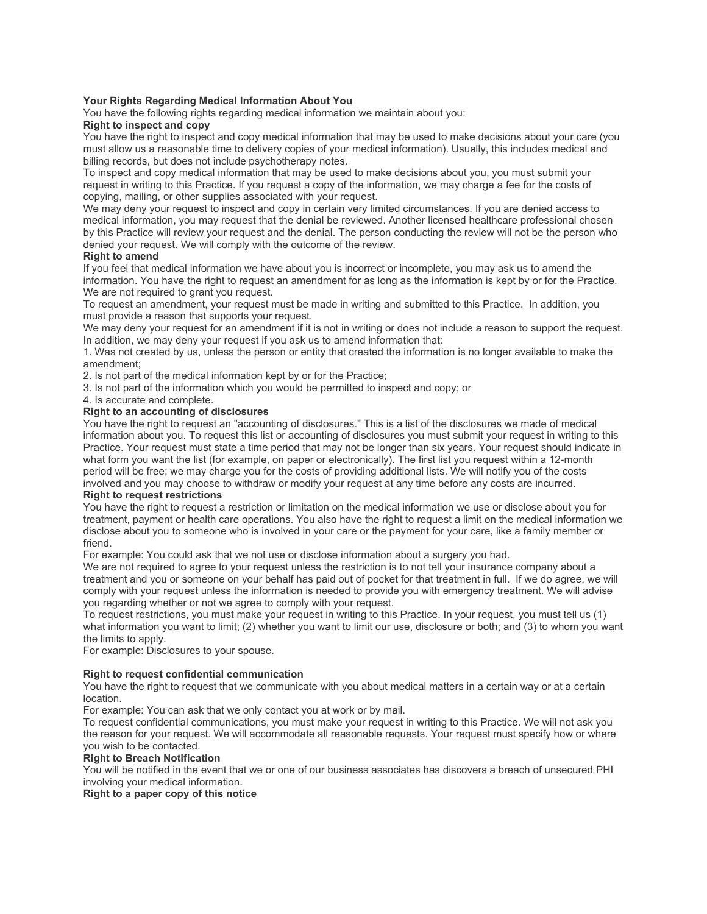# **Your Rights Regarding Medical Information About You**

You have the following rights regarding medical information we maintain about you:

# **Right to inspect and copy**

You have the right to inspect and copy medical information that may be used to make decisions about your care (you must allow us a reasonable time to delivery copies of your medical information). Usually, this includes medical and billing records, but does not include psychotherapy notes.

To inspect and copy medical information that may be used to make decisions about you, you must submit your request in writing to this Practice. If you request a copy of the information, we may charge a fee for the costs of copying, mailing, or other supplies associated with your request.

We may deny your request to inspect and copy in certain very limited circumstances. If you are denied access to medical information, you may request that the denial be reviewed. Another licensed healthcare professional chosen by this Practice will review your request and the denial. The person conducting the review will not be the person who denied your request. We will comply with the outcome of the review.

# **Right to amend**

If you feel that medical information we have about you is incorrect or incomplete, you may ask us to amend the information. You have the right to request an amendment for as long as the information is kept by or for the Practice. We are not required to grant you request.

To request an amendment, your request must be made in writing and submitted to this Practice. In addition, you must provide a reason that supports your request.

We may deny your request for an amendment if it is not in writing or does not include a reason to support the request. In addition, we may deny your request if you ask us to amend information that:

1. Was not created by us, unless the person or entity that created the information is no longer available to make the amendment;

2. Is not part of the medical information kept by or for the Practice;

3. Is not part of the information which you would be permitted to inspect and copy; or

4. Is accurate and complete.

# **Right to an accounting of disclosures**

You have the right to request an "accounting of disclosures." This is a list of the disclosures we made of medical information about you. To request this list or accounting of disclosures you must submit your request in writing to this Practice. Your request must state a time period that may not be longer than six years. Your request should indicate in what form you want the list (for example, on paper or electronically). The first list you request within a 12-month period will be free; we may charge you for the costs of providing additional lists. We will notify you of the costs involved and you may choose to withdraw or modify your request at any time before any costs are incurred. **Right to request restrictions** 

You have the right to request a restriction or limitation on the medical information we use or disclose about you for treatment, payment or health care operations. You also have the right to request a limit on the medical information we disclose about you to someone who is involved in your care or the payment for your care, like a family member or friend.

For example: You could ask that we not use or disclose information about a surgery you had.

We are not required to agree to your request unless the restriction is to not tell your insurance company about a treatment and you or someone on your behalf has paid out of pocket for that treatment in full. If we do agree, we will comply with your request unless the information is needed to provide you with emergency treatment. We will advise you regarding whether or not we agree to comply with your request.

To request restrictions, you must make your request in writing to this Practice. In your request, you must tell us (1) what information you want to limit; (2) whether you want to limit our use, disclosure or both; and (3) to whom you want the limits to apply.

For example: Disclosures to your spouse.

# **Right to request confidential communication**

You have the right to request that we communicate with you about medical matters in a certain way or at a certain location.

For example: You can ask that we only contact you at work or by mail.

To request confidential communications, you must make your request in writing to this Practice. We will not ask you the reason for your request. We will accommodate all reasonable requests. Your request must specify how or where you wish to be contacted.

# **Right to Breach Notification**

You will be notified in the event that we or one of our business associates has discovers a breach of unsecured PHI involving your medical information.

**Right to a paper copy of this notice**